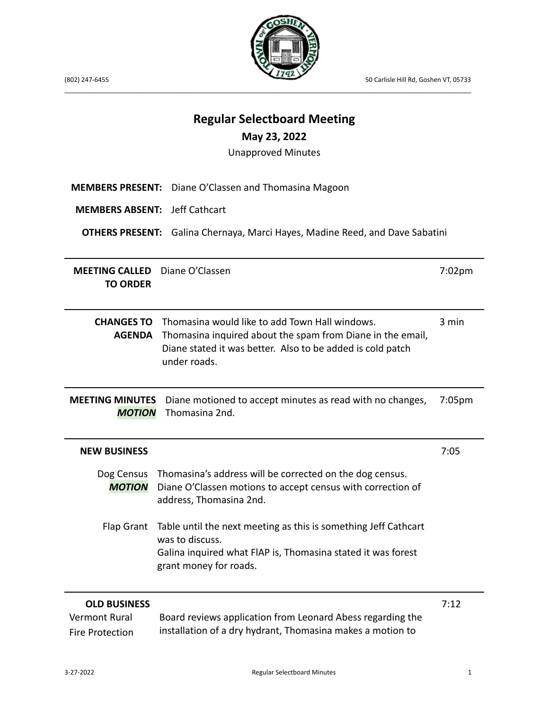(802) 247-6455 50 Carlisle Hill Rd, Goshen VT, 05733



\_\_\_\_\_\_\_\_\_\_\_\_\_\_\_\_\_\_\_\_\_\_\_\_\_\_\_\_\_\_\_\_\_\_\_\_\_\_\_\_\_\_\_\_\_\_\_\_\_\_\_\_\_\_\_\_\_\_\_\_\_\_\_\_\_\_\_\_\_\_\_\_\_\_\_\_\_\_\_\_\_\_\_\_\_\_\_\_\_\_\_\_\_\_\_\_\_\_\_\_\_\_\_\_\_\_\_\_\_\_\_\_\_\_

**Regular Selectboard Meeting**

| May 23, 2022                                                                                                           |                                                                                                                                                                                            |           |  |
|------------------------------------------------------------------------------------------------------------------------|--------------------------------------------------------------------------------------------------------------------------------------------------------------------------------------------|-----------|--|
| <b>Unapproved Minutes</b>                                                                                              |                                                                                                                                                                                            |           |  |
| <b>MEMBERS PRESENT:</b><br><b>MEMBERS ABSENT:</b>                                                                      | Diane O'Classen and Thomasina Magoon<br>Jeff Cathcart                                                                                                                                      |           |  |
| <b>OTHERS PRESENT:</b><br>Galina Chernaya, Marci Hayes, Madine Reed, and Dave Sabatini                                 |                                                                                                                                                                                            |           |  |
| <b>MEETING CALLED</b><br><b>TO ORDER</b>                                                                               | Diane O'Classen                                                                                                                                                                            | $7:02$ pm |  |
| <b>CHANGES TO</b><br><b>AGENDA</b>                                                                                     | Thomasina would like to add Town Hall windows.<br>Thomasina inquired about the spam from Diane in the email,<br>Diane stated it was better. Also to be added is cold patch<br>under roads. | 3 min     |  |
| <b>MEETING MINUTES</b><br>Diane motioned to accept minutes as read with no changes,<br>Thomasina 2nd.<br><b>MOTION</b> |                                                                                                                                                                                            | 7:05pm    |  |
| <b>NEW BUSINESS</b>                                                                                                    |                                                                                                                                                                                            | 7:05      |  |
| Dog Census<br><b>MOTION</b>                                                                                            | Thomasina's address will be corrected on the dog census.<br>Diane O'Classen motions to accept census with correction of<br>address, Thomasina 2nd.                                         |           |  |
| <b>Flap Grant</b>                                                                                                      | Table until the next meeting as this is something Jeff Cathcart<br>was to discuss.<br>Galina inquired what FIAP is, Thomasina stated it was forest<br>grant money for roads.               |           |  |
| <b>OLD BUSINESS</b><br><b>Vermont Rural</b><br><b>Fire Protection</b>                                                  | Board reviews application from Leonard Abess regarding the<br>installation of a dry hydrant, Thomasina makes a motion to                                                                   | 7:12      |  |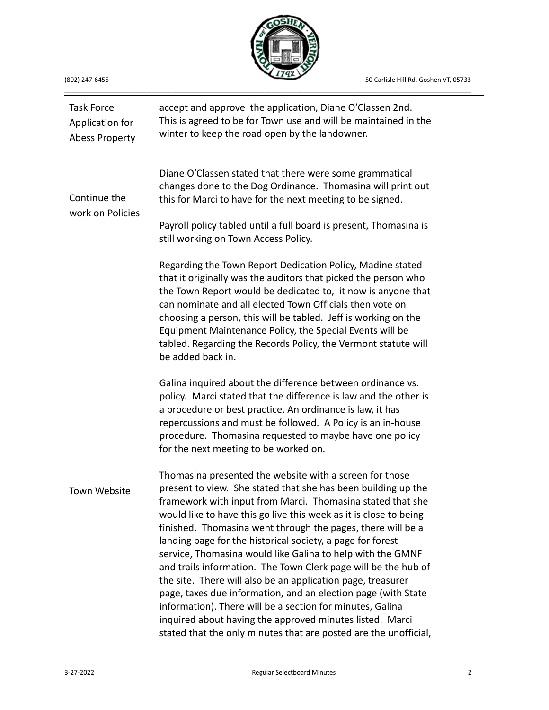50 Carlisle Hill Rd, Goshen VT, 05733



\_\_\_\_\_\_\_\_\_\_\_\_\_\_\_\_\_\_\_\_\_\_\_\_\_\_\_\_\_\_\_\_\_\_\_\_\_\_\_\_\_\_\_\_\_\_\_\_\_\_\_\_\_\_\_\_\_\_\_\_\_\_\_\_\_\_\_\_\_\_\_\_\_\_\_\_\_\_\_\_\_\_\_\_\_\_\_\_\_\_\_\_\_\_\_\_\_\_\_\_\_\_\_\_\_\_\_\_\_\_\_\_\_\_

| (802) 247-6455 |
|----------------|

| <b>Task Force</b><br>Application for<br><b>Abess Property</b> | accept and approve the application, Diane O'Classen 2nd.<br>This is agreed to be for Town use and will be maintained in the<br>winter to keep the road open by the landowner.                                                                                                                                                                                                                                                                                                                                                                                                                                                                                                                                                                                                                                                                         |
|---------------------------------------------------------------|-------------------------------------------------------------------------------------------------------------------------------------------------------------------------------------------------------------------------------------------------------------------------------------------------------------------------------------------------------------------------------------------------------------------------------------------------------------------------------------------------------------------------------------------------------------------------------------------------------------------------------------------------------------------------------------------------------------------------------------------------------------------------------------------------------------------------------------------------------|
| Continue the<br>work on Policies                              | Diane O'Classen stated that there were some grammatical<br>changes done to the Dog Ordinance. Thomasina will print out<br>this for Marci to have for the next meeting to be signed.                                                                                                                                                                                                                                                                                                                                                                                                                                                                                                                                                                                                                                                                   |
|                                                               | Payroll policy tabled until a full board is present, Thomasina is<br>still working on Town Access Policy.                                                                                                                                                                                                                                                                                                                                                                                                                                                                                                                                                                                                                                                                                                                                             |
|                                                               | Regarding the Town Report Dedication Policy, Madine stated<br>that it originally was the auditors that picked the person who<br>the Town Report would be dedicated to, it now is anyone that<br>can nominate and all elected Town Officials then vote on<br>choosing a person, this will be tabled. Jeff is working on the<br>Equipment Maintenance Policy, the Special Events will be<br>tabled. Regarding the Records Policy, the Vermont statute will<br>be added back in.                                                                                                                                                                                                                                                                                                                                                                         |
|                                                               | Galina inquired about the difference between ordinance vs.<br>policy. Marci stated that the difference is law and the other is<br>a procedure or best practice. An ordinance is law, it has<br>repercussions and must be followed. A Policy is an in-house<br>procedure. Thomasina requested to maybe have one policy<br>for the next meeting to be worked on.                                                                                                                                                                                                                                                                                                                                                                                                                                                                                        |
| Town Website                                                  | Thomasina presented the website with a screen for those<br>present to view. She stated that she has been building up the<br>framework with input from Marci. Thomasina stated that she<br>would like to have this go live this week as it is close to being<br>finished. Thomasina went through the pages, there will be a<br>landing page for the historical society, a page for forest<br>service, Thomasina would like Galina to help with the GMNF<br>and trails information. The Town Clerk page will be the hub of<br>the site. There will also be an application page, treasurer<br>page, taxes due information, and an election page (with State<br>information). There will be a section for minutes, Galina<br>inquired about having the approved minutes listed. Marci<br>stated that the only minutes that are posted are the unofficial, |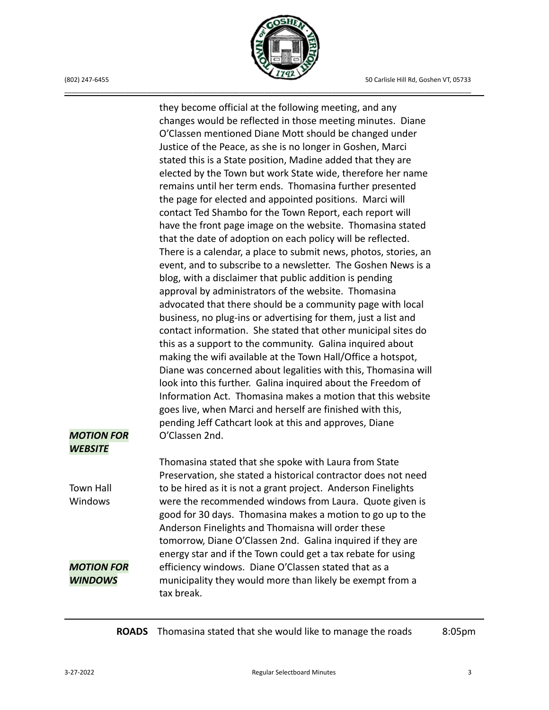

\_\_\_\_\_\_\_\_\_\_\_\_\_\_\_\_\_\_\_\_\_\_\_\_\_\_\_\_\_\_\_\_\_\_\_\_\_\_\_\_\_\_\_\_\_\_\_\_\_\_\_\_\_\_\_\_\_\_\_\_\_\_\_\_\_\_\_\_\_\_\_\_\_\_\_\_\_\_\_\_\_\_\_\_\_\_\_\_\_\_\_\_\_\_\_\_\_\_\_\_\_\_\_\_\_\_\_\_\_\_\_\_\_\_

*MOTION FOR WEBSITE* Town Hall **Windows** *MOTION FOR WINDOWS* they become official at the following meeting, and any changes would be reflected in those meeting minutes. Diane O'Classen mentioned Diane Mott should be changed under Justice of the Peace, as she is no longer in Goshen, Marci stated this is a State position, Madine added that they are elected by the Town but work State wide, therefore her name remains until her term ends. Thomasina further presented the page for elected and appointed positions. Marci will contact Ted Shambo for the Town Report, each report will have the front page image on the website. Thomasina stated that the date of adoption on each policy will be reflected. There is a calendar, a place to submit news, photos, stories, an event, and to subscribe to a newsletter. The Goshen News is a blog, with a disclaimer that public addition is pending approval by administrators of the website. Thomasina advocated that there should be a community page with local business, no plug-ins or advertising for them, just a list and contact information. She stated that other municipal sites do this as a support to the community. Galina inquired about making the wifi available at the Town Hall/Office a hotspot, Diane was concerned about legalities with this, Thomasina will look into this further. Galina inquired about the Freedom of Information Act. Thomasina makes a motion that this website goes live, when Marci and herself are finished with this, pending Jeff Cathcart look at this and approves, Diane O'Classen 2nd. Thomasina stated that she spoke with Laura from State Preservation, she stated a historical contractor does not need to be hired as it is not a grant project. Anderson Finelights were the recommended windows from Laura. Quote given is good for 30 days. Thomasina makes a motion to go up to the Anderson Finelights and Thomaisna will order these tomorrow, Diane O'Classen 2nd. Galina inquired if they are energy star and if the Town could get a tax rebate for using efficiency windows. Diane O'Classen stated that as a municipality they would more than likely be exempt from a tax break.

**ROADS** Thomasina stated that she would like to manage the roads 8:05pm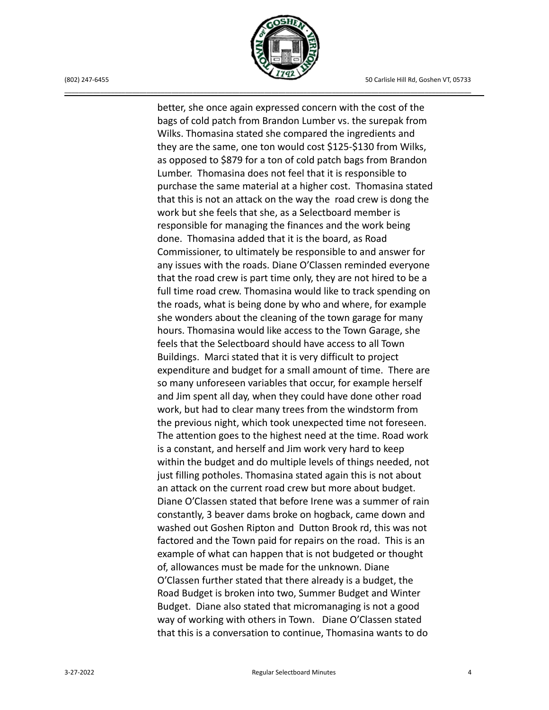

\_\_\_\_\_\_\_\_\_\_\_\_\_\_\_\_\_\_\_\_\_\_\_\_\_\_\_\_\_\_\_\_\_\_\_\_\_\_\_\_\_\_\_\_\_\_\_\_\_\_\_\_\_\_\_\_\_\_\_\_\_\_\_\_\_\_\_\_\_\_\_\_\_\_\_\_\_\_\_\_\_\_\_\_\_\_\_\_\_\_\_\_\_\_\_\_\_\_\_\_\_\_\_\_\_\_\_\_\_\_\_\_\_\_

better, she once again expressed concern with the cost of the bags of cold patch from Brandon Lumber vs. the surepak from Wilks. Thomasina stated she compared the ingredients and they are the same, one ton would cost \$125-\$130 from Wilks, as opposed to \$879 for a ton of cold patch bags from Brandon Lumber. Thomasina does not feel that it is responsible to purchase the same material at a higher cost. Thomasina stated that this is not an attack on the way the road crew is dong the work but she feels that she, as a Selectboard member is responsible for managing the finances and the work being done. Thomasina added that it is the board, as Road Commissioner, to ultimately be responsible to and answer for any issues with the roads. Diane O'Classen reminded everyone that the road crew is part time only, they are not hired to be a full time road crew. Thomasina would like to track spending on the roads, what is being done by who and where, for example she wonders about the cleaning of the town garage for many hours. Thomasina would like access to the Town Garage, she feels that the Selectboard should have access to all Town Buildings. Marci stated that it is very difficult to project expenditure and budget for a small amount of time. There are so many unforeseen variables that occur, for example herself and Jim spent all day, when they could have done other road work, but had to clear many trees from the windstorm from the previous night, which took unexpected time not foreseen. The attention goes to the highest need at the time. Road work is a constant, and herself and Jim work very hard to keep within the budget and do multiple levels of things needed, not just filling potholes. Thomasina stated again this is not about an attack on the current road crew but more about budget. Diane O'Classen stated that before Irene was a summer of rain constantly, 3 beaver dams broke on hogback, came down and washed out Goshen Ripton and Dutton Brook rd, this was not factored and the Town paid for repairs on the road. This is an example of what can happen that is not budgeted or thought of, allowances must be made for the unknown. Diane O'Classen further stated that there already is a budget, the Road Budget is broken into two, Summer Budget and Winter Budget. Diane also stated that micromanaging is not a good way of working with others in Town. Diane O'Classen stated that this is a conversation to continue, Thomasina wants to do